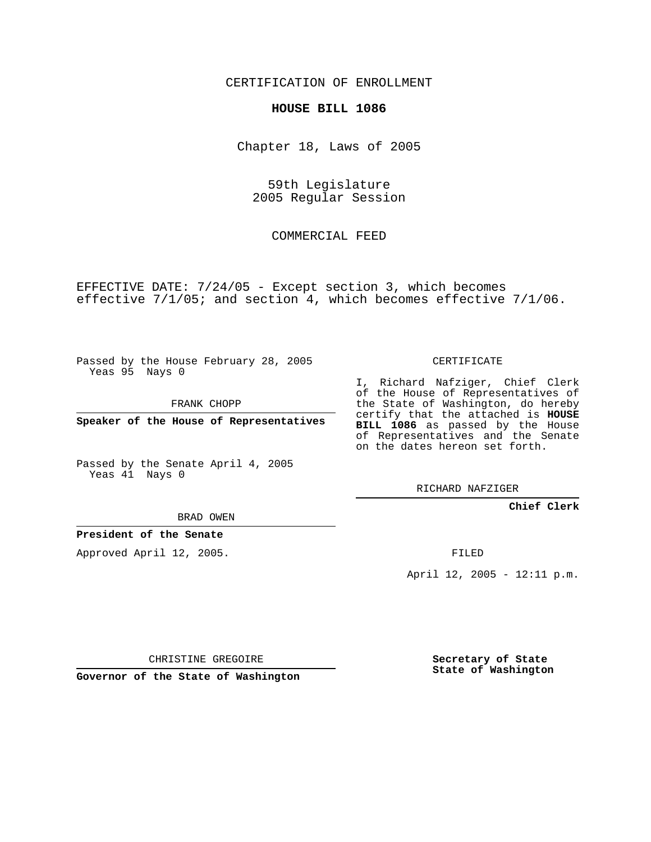## CERTIFICATION OF ENROLLMENT

## **HOUSE BILL 1086**

Chapter 18, Laws of 2005

59th Legislature 2005 Regular Session

COMMERCIAL FEED

EFFECTIVE DATE: 7/24/05 - Except section 3, which becomes effective 7/1/05; and section 4, which becomes effective 7/1/06.

Passed by the House February 28, 2005 Yeas 95 Nays 0

FRANK CHOPP

**Speaker of the House of Representatives**

Passed by the Senate April 4, 2005 Yeas 41 Nays 0

CERTIFICATE

I, Richard Nafziger, Chief Clerk of the House of Representatives of the State of Washington, do hereby certify that the attached is **HOUSE BILL 1086** as passed by the House of Representatives and the Senate on the dates hereon set forth.

RICHARD NAFZIGER

**Chief Clerk**

BRAD OWEN

**President of the Senate**

Approved April 12, 2005.

FILED

April 12, 2005 - 12:11 p.m.

CHRISTINE GREGOIRE

**Governor of the State of Washington**

**Secretary of State State of Washington**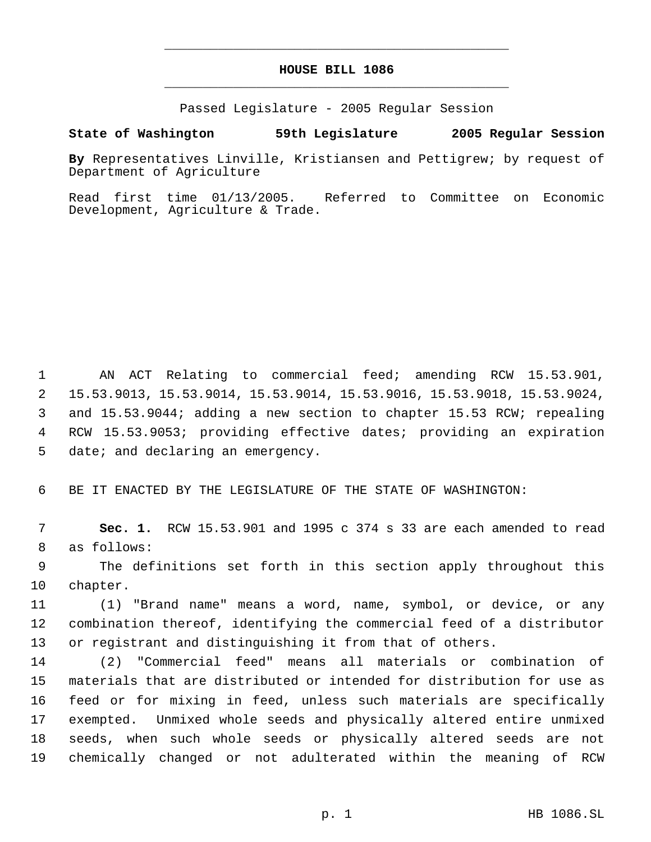## **HOUSE BILL 1086** \_\_\_\_\_\_\_\_\_\_\_\_\_\_\_\_\_\_\_\_\_\_\_\_\_\_\_\_\_\_\_\_\_\_\_\_\_\_\_\_\_\_\_\_\_

\_\_\_\_\_\_\_\_\_\_\_\_\_\_\_\_\_\_\_\_\_\_\_\_\_\_\_\_\_\_\_\_\_\_\_\_\_\_\_\_\_\_\_\_\_

Passed Legislature - 2005 Regular Session

## **State of Washington 59th Legislature 2005 Regular Session**

**By** Representatives Linville, Kristiansen and Pettigrew; by request of Department of Agriculture

Read first time 01/13/2005. Referred to Committee on Economic Development, Agriculture & Trade.

 AN ACT Relating to commercial feed; amending RCW 15.53.901, 15.53.9013, 15.53.9014, 15.53.9014, 15.53.9016, 15.53.9018, 15.53.9024, and 15.53.9044; adding a new section to chapter 15.53 RCW; repealing RCW 15.53.9053; providing effective dates; providing an expiration 5 date; and declaring an emergency.

BE IT ENACTED BY THE LEGISLATURE OF THE STATE OF WASHINGTON:

 **Sec. 1.** RCW 15.53.901 and 1995 c 374 s 33 are each amended to read as follows:

 The definitions set forth in this section apply throughout this chapter.

 (1) "Brand name" means a word, name, symbol, or device, or any combination thereof, identifying the commercial feed of a distributor or registrant and distinguishing it from that of others.

 (2) "Commercial feed" means all materials or combination of materials that are distributed or intended for distribution for use as feed or for mixing in feed, unless such materials are specifically exempted. Unmixed whole seeds and physically altered entire unmixed seeds, when such whole seeds or physically altered seeds are not chemically changed or not adulterated within the meaning of RCW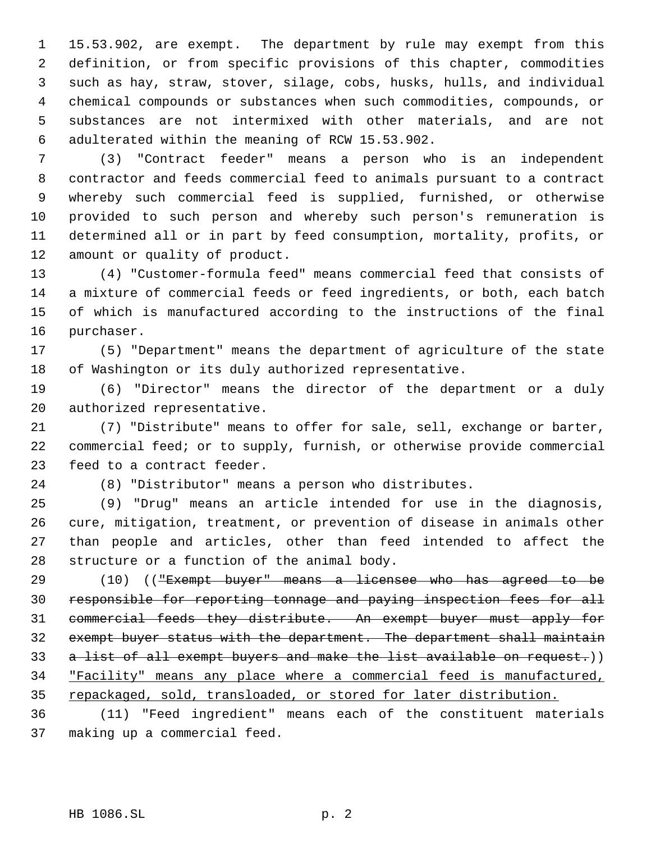15.53.902, are exempt. The department by rule may exempt from this definition, or from specific provisions of this chapter, commodities such as hay, straw, stover, silage, cobs, husks, hulls, and individual chemical compounds or substances when such commodities, compounds, or substances are not intermixed with other materials, and are not adulterated within the meaning of RCW 15.53.902.

 (3) "Contract feeder" means a person who is an independent contractor and feeds commercial feed to animals pursuant to a contract whereby such commercial feed is supplied, furnished, or otherwise provided to such person and whereby such person's remuneration is determined all or in part by feed consumption, mortality, profits, or amount or quality of product.

 (4) "Customer-formula feed" means commercial feed that consists of a mixture of commercial feeds or feed ingredients, or both, each batch of which is manufactured according to the instructions of the final purchaser.

 (5) "Department" means the department of agriculture of the state of Washington or its duly authorized representative.

 (6) "Director" means the director of the department or a duly authorized representative.

 (7) "Distribute" means to offer for sale, sell, exchange or barter, commercial feed; or to supply, furnish, or otherwise provide commercial feed to a contract feeder.

(8) "Distributor" means a person who distributes.

 (9) "Drug" means an article intended for use in the diagnosis, cure, mitigation, treatment, or prevention of disease in animals other than people and articles, other than feed intended to affect the structure or a function of the animal body.

29 (10) ((<del>"Exempt buyer" means a licensee who has agreed to be</del> responsible for reporting tonnage and paying inspection fees for all commercial feeds they distribute. An exempt buyer must apply for 32 exempt buyer status with the department. The department shall maintain 33 a list of all exempt buyers and make the list available on request.)) "Facility" means any place where a commercial feed is manufactured, 35 repackaged, sold, transloaded, or stored for later distribution.

 (11) "Feed ingredient" means each of the constituent materials making up a commercial feed.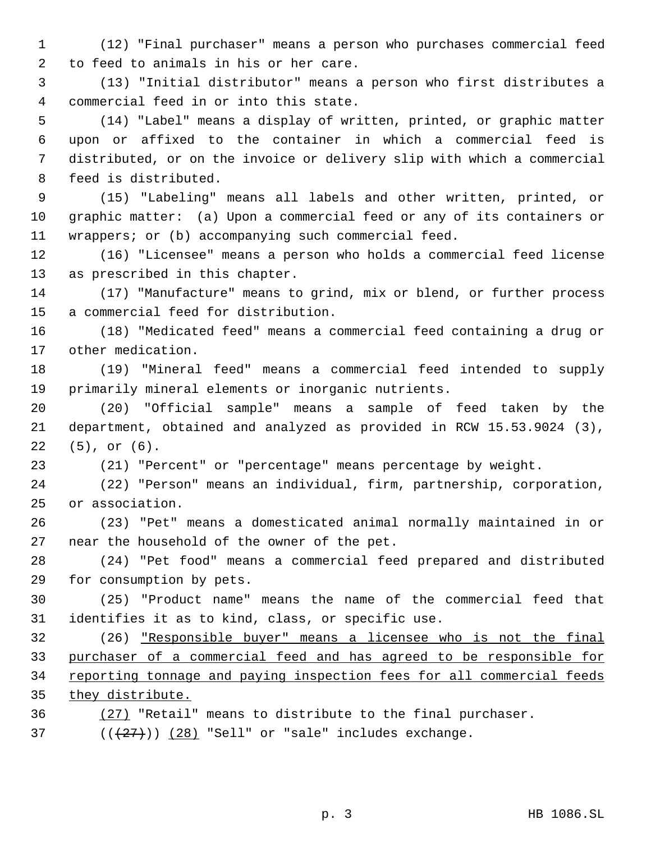(12) "Final purchaser" means a person who purchases commercial feed to feed to animals in his or her care.

 (13) "Initial distributor" means a person who first distributes a commercial feed in or into this state.

 (14) "Label" means a display of written, printed, or graphic matter upon or affixed to the container in which a commercial feed is distributed, or on the invoice or delivery slip with which a commercial feed is distributed.

 (15) "Labeling" means all labels and other written, printed, or graphic matter: (a) Upon a commercial feed or any of its containers or wrappers; or (b) accompanying such commercial feed.

 (16) "Licensee" means a person who holds a commercial feed license as prescribed in this chapter.

 (17) "Manufacture" means to grind, mix or blend, or further process a commercial feed for distribution.

 (18) "Medicated feed" means a commercial feed containing a drug or other medication.

 (19) "Mineral feed" means a commercial feed intended to supply primarily mineral elements or inorganic nutrients.

 (20) "Official sample" means a sample of feed taken by the department, obtained and analyzed as provided in RCW 15.53.9024 (3), (5), or (6).

(21) "Percent" or "percentage" means percentage by weight.

 (22) "Person" means an individual, firm, partnership, corporation, or association.

 (23) "Pet" means a domesticated animal normally maintained in or near the household of the owner of the pet.

 (24) "Pet food" means a commercial feed prepared and distributed for consumption by pets.

 (25) "Product name" means the name of the commercial feed that identifies it as to kind, class, or specific use.

 (26) "Responsible buyer" means a licensee who is not the final purchaser of a commercial feed and has agreed to be responsible for 34 reporting tonnage and paying inspection fees for all commercial feeds 35 they distribute.

(27) "Retail" means to distribute to the final purchaser.

 $((+27))$   $(28)$  "Sell" or "sale" includes exchange.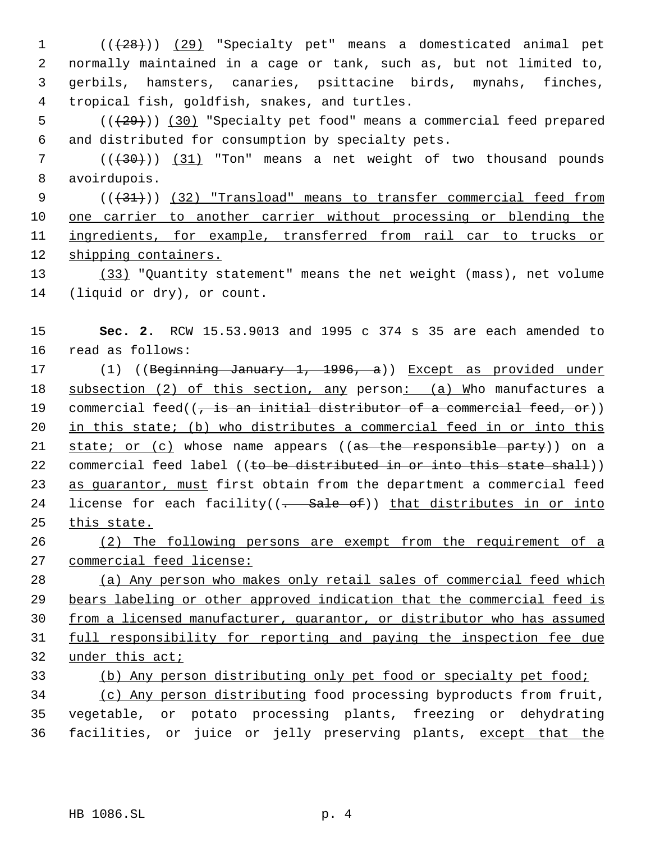1 (( $(28)$ )) (29) "Specialty pet" means a domesticated animal pet normally maintained in a cage or tank, such as, but not limited to, gerbils, hamsters, canaries, psittacine birds, mynahs, finches, tropical fish, goldfish, snakes, and turtles.

5  $((+29))$  (30) "Specialty pet food" means a commercial feed prepared 6 and distributed for consumption by specialty pets.

7 (( $(30)$ )) (31) "Ton" means a net weight of two thousand pounds 8 avoirdupois.

9 (( $(31)$ ) (32) "Transload" means to transfer commercial feed from 10 one carrier to another carrier without processing or blending the 11 ingredients, for example, transferred from rail car to trucks or 12 shipping containers.

13 (33) "Quantity statement" means the net weight (mass), net volume 14 (liquid or dry), or count.

15 **Sec. 2.** RCW 15.53.9013 and 1995 c 374 s 35 are each amended to 16 read as follows:

17 (1) ((Beginning January 1, 1996, a)) Except as provided under 18 subsection (2) of this section, any person: (a) Who manufactures a 19 commercial feed( $\left(\frac{1}{t} + \frac{1}{t} + \frac{1}{t} + \frac{1}{t} + \frac{1}{t} + \frac{1}{t} + \frac{1}{t} + \frac{1}{t} + \frac{1}{t} + \frac{1}{t} + \frac{1}{t} + \frac{1}{t} + \frac{1}{t} + \frac{1}{t} + \frac{1}{t} + \frac{1}{t} + \frac{1}{t} + \frac{1}{t} + \frac{1}{t} + \frac{1}{t} + \frac{1}{t} + \frac{1}{t} + \frac{1}{t} + \frac{1}{t} + \frac{1}{t}$ 20 in this state; (b) who distributes a commercial feed in or into this 21 state; or (c) whose name appears ((as the responsible party)) on a 22 commercial feed label ((to be distributed in or into this state shall)) 23 as guarantor, must first obtain from the department a commercial feed 24 license for each facility((- Sale of)) that distributes in or into 25 this state.

26 (2) The following persons are exempt from the requirement of a 27 commercial feed license:

28 (a) Any person who makes only retail sales of commercial feed which 29 bears labeling or other approved indication that the commercial feed is 30 from a licensed manufacturer, quarantor, or distributor who has assumed 31 full responsibility for reporting and paying the inspection fee due 32 under this act;

 (b) Any person distributing only pet food or specialty pet food; (c) Any person distributing food processing byproducts from fruit, vegetable, or potato processing plants, freezing or dehydrating facilities, or juice or jelly preserving plants, except that the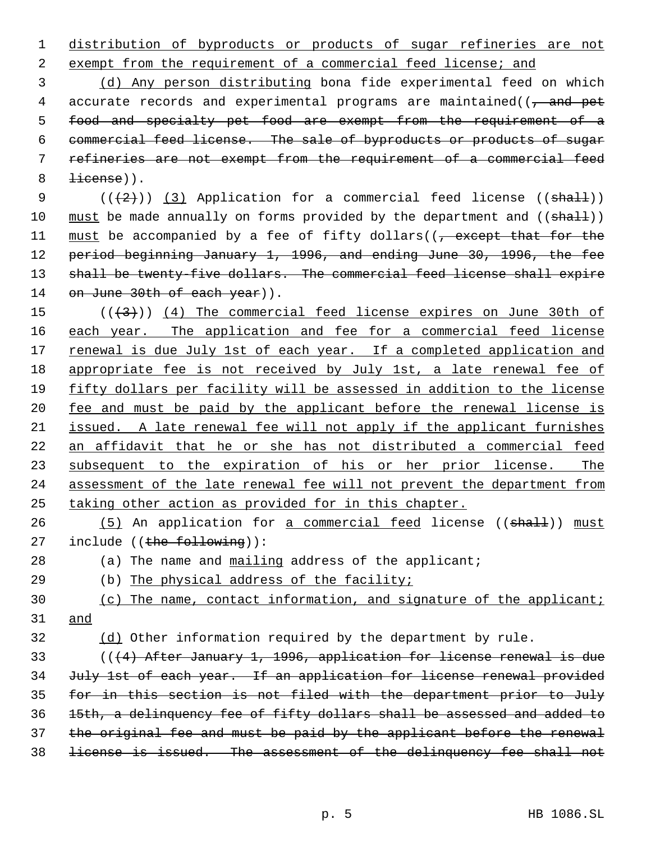1 distribution of byproducts or products of sugar refineries are not

2 exempt from the requirement of a commercial feed license; and

 (d) Any person distributing bona fide experimental feed on which 4 accurate records and experimental programs are maintained( $\left(\frac{1}{f} - \frac{1}{f}\right)$  food and specialty pet food are exempt from the requirement of a commercial feed license. The sale of byproducts or products of sugar refineries are not exempt from the requirement of a commercial feed  $8 \quad \text{Hicense}$ ).

9  $((+2))$   $(3)$  Application for a commercial feed license  $((shall))$ 10 must be made annually on forms provided by the department and ((shall)) 11 must be accompanied by a fee of fifty dollars((, except that for the 12 period beginning January 1, 1996, and ending June 30, 1996, the fee 13 shall be twenty-five dollars. The commercial feed license shall expire 14 on June 30th of each year)).

15  $((+3))$   $(4)$  The commercial feed license expires on June 30th of 16 each year. The application and fee for a commercial feed license 17 renewal is due July 1st of each year. If a completed application and 18 appropriate fee is not received by July 1st, a late renewal fee of 19 fifty dollars per facility will be assessed in addition to the license 20 fee and must be paid by the applicant before the renewal license is 21 issued. A late renewal fee will not apply if the applicant furnishes 22 an affidavit that he or she has not distributed a commercial feed 23 subsequent to the expiration of his or her prior license. The 24 assessment of the late renewal fee will not prevent the department from 25 taking other action as provided for in this chapter.

26 (5) An application for a commercial feed license ((shall)) must 27 include ((the following)):

- 28 (a) The name and mailing address of the applicant;
- 29 (b) The physical address of the facility;

30 (c) The name, contact information, and signature of the applicant; 31 and

32 (d) Other information required by the department by rule.

 (((4) After January 1, 1996, application for license renewal is due 34 July 1st of each year. If an application for license renewal provided for in this section is not filed with the department prior to July 15th, a delinquency fee of fifty dollars shall be assessed and added to the original fee and must be paid by the applicant before the renewal license is issued. The assessment of the delinquency fee shall not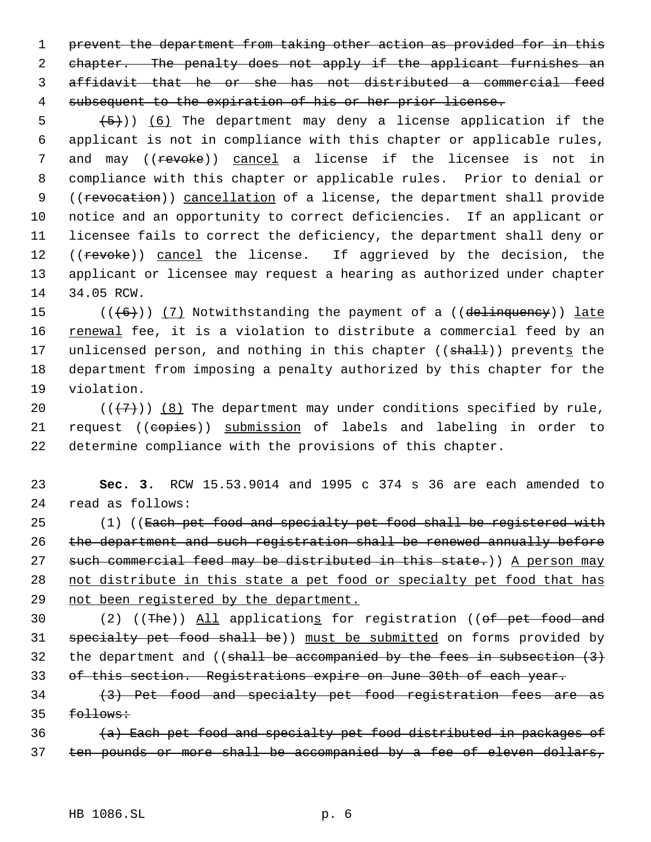1 prevent the department from taking other action as provided for in this 2 chapter. The penalty does not apply if the applicant furnishes an 3 affidavit that he or she has not distributed a commercial feed 4 subsequent to the expiration of his or her prior license.

 $(5+)$ ) (6) The department may deny a license application if the applicant is not in compliance with this chapter or applicable rules, 7 and may ((revoke)) cancel a license if the licensee is not in compliance with this chapter or applicable rules. Prior to denial or 9 ((revocation)) cancellation of a license, the department shall provide notice and an opportunity to correct deficiencies. If an applicant or licensee fails to correct the deficiency, the department shall deny or 12 ((revoke)) cancel the license. If aggrieved by the decision, the applicant or licensee may request a hearing as authorized under chapter 34.05 RCW.

15  $((+6))$   $(7)$  Notwithstanding the payment of a  $((de \text{deltinguency}))$  late 16 renewal fee, it is a violation to distribute a commercial feed by an 17 unlicensed person, and nothing in this chapter ((shall)) prevents the 18 department from imposing a penalty authorized by this chapter for the 19 violation.

20  $((\langle 7 \rangle)(8)$  The department may under conditions specified by rule, 21 request ((copies)) submission of labels and labeling in order to 22 determine compliance with the provisions of this chapter.

23 **Sec. 3.** RCW 15.53.9014 and 1995 c 374 s 36 are each amended to 24 read as follows:

25 (1) ((Each pet food and specialty pet food shall be registered with 26 the department and such registration shall be renewed annually before 27 such commercial feed may be distributed in this state.) A person may 28 not distribute in this state a pet food or specialty pet food that has 29 not been registered by the department.

30 (2) ((The)) All applications for registration ((of pet food and 31 specialty pet food shall be)) must be submitted on forms provided by 32 the department and (( $shall$  be accompanied by the fees in subsection  $(3)$ 33 of this section. Registrations expire on June 30th of each year.

34 (3) Pet food and specialty pet food registration fees are as 35 follows:

36 (a) Each pet food and specialty pet food distributed in packages of 37 ten pounds or more shall be accompanied by a fee of eleven dollars,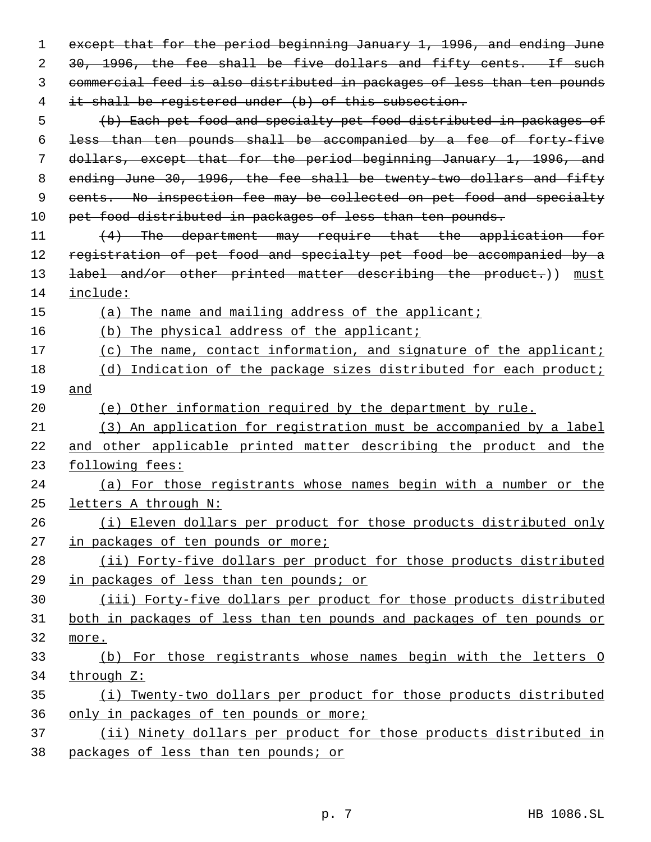1 except that for the period beginning January 1, 1996, and ending June 2 30, 1996, the fee shall be five dollars and fifty cents. If such commercial feed is also distributed in packages of less than ten pounds it shall be registered under (b) of this subsection. (b) Each pet food and specialty pet food distributed in packages of less than ten pounds shall be accompanied by a fee of forty-five

 dollars, except that for the period beginning January 1, 1996, and ending June 30, 1996, the fee shall be twenty-two dollars and fifty 9 cents. No inspection fee may be collected on pet food and specialty 10 pet food distributed in packages of less than ten pounds.

11 (4) The department may require that the application for registration of pet food and specialty pet food be accompanied by a 13 label and/or other printed matter describing the product.)) must include:

(a) The name and mailing address of the applicant;

(b) The physical address of the applicant;

17 (c) The name, contact information, and signature of the applicant;

 (d) Indication of the package sizes distributed for each product; and

(e) Other information required by the department by rule.

 (3) An application for registration must be accompanied by a label and other applicable printed matter describing the product and the following fees:

 (a) For those registrants whose names begin with a number or the 25 letters A through N:

26 (i) Eleven dollars per product for those products distributed only 27 in packages of ten pounds or more;

 (ii) Forty-five dollars per product for those products distributed in packages of less than ten pounds; or

 (iii) Forty-five dollars per product for those products distributed both in packages of less than ten pounds and packages of ten pounds or more.

- (b) For those registrants whose names begin with the letters O through Z:
- (i) Twenty-two dollars per product for those products distributed only in packages of ten pounds or more;
- (ii) Ninety dollars per product for those products distributed in packages of less than ten pounds; or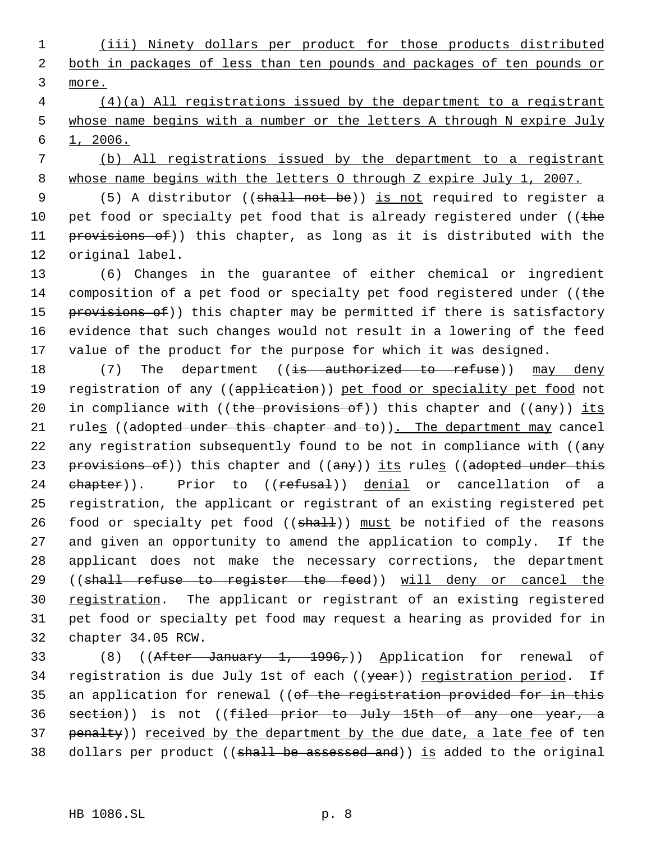1 (iii) Ninety dollars per product for those products distributed 2 both in packages of less than ten pounds and packages of ten pounds or 3 more.

 4 (4)(a) All registrations issued by the department to a registrant 5 whose name begins with a number or the letters A through N expire July 6 1, 2006.

 7 (b) All registrations issued by the department to a registrant 8 whose name begins with the letters 0 through Z expire July 1, 2007.

9 (5) A distributor ((shall not be)) is not required to register a 10 pet food or specialty pet food that is already registered under (( $t$ he 11 provisions of)) this chapter, as long as it is distributed with the 12 original label.

13 (6) Changes in the guarantee of either chemical or ingredient 14 composition of a pet food or specialty pet food registered under ((the 15 provisions of)) this chapter may be permitted if there is satisfactory 16 evidence that such changes would not result in a lowering of the feed 17 value of the product for the purpose for which it was designed.

18 (7) The department ((is authorized to refuse)) may deny 19 registration of any ((application)) pet food or speciality pet food not 20 in compliance with ((the provisions of)) this chapter and ((any)) its 21 rules ((adopted under this chapter and to)). The department may cancel 22 any registration subsequently found to be not in compliance with ((any 23 provisions of)) this chapter and ((any)) its rules ((adopted under this 24 chapter)). Prior to ((refusal)) denial or cancellation of a 25 registration, the applicant or registrant of an existing registered pet 26 food or specialty pet food  $((shall))$  must be notified of the reasons 27 and given an opportunity to amend the application to comply. If the 28 applicant does not make the necessary corrections, the department 29 ((shall refuse to register the feed)) will deny or cancel the 30 registration. The applicant or registrant of an existing registered 31 pet food or specialty pet food may request a hearing as provided for in 32 chapter 34.05 RCW.

33 (8) ((After January 1, 1996,)) Application for renewal of 34 registration is due July 1st of each ((year)) registration period. If 35 an application for renewal ((of the registration provided for in this 36 section)) is not ((filed prior to July 15th of any one year, a 37 penalty)) received by the department by the due date, a late fee of ten 38 dollars per product (( $shall$  be assessed and)) is added to the original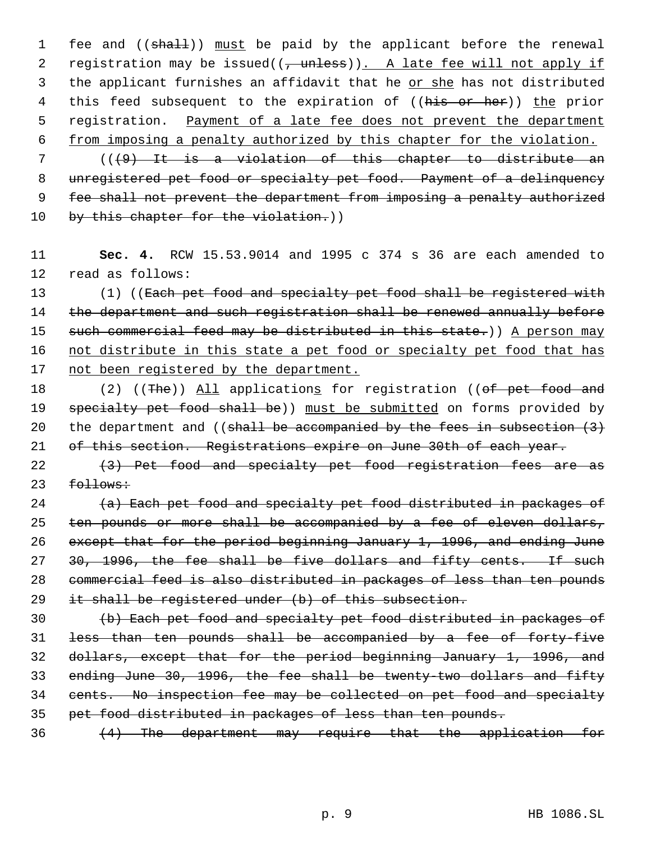1 fee and ((shall)) must be paid by the applicant before the renewal 2 registration may be issued((, unless)). A late fee will not apply if 3 the applicant furnishes an affidavit that he or she has not distributed 4 this feed subsequent to the expiration of ((his or her)) the prior 5 registration. Payment of a late fee does not prevent the department 6 from imposing a penalty authorized by this chapter for the violation.

 7 (((9) It is a violation of this chapter to distribute an 8 unregistered pet food or specialty pet food. Payment of a delinquency 9 fee shall not prevent the department from imposing a penalty authorized 10 by this chapter for the violation.))

11 **Sec. 4.** RCW 15.53.9014 and 1995 c 374 s 36 are each amended to 12 read as follows:

13 (1) ((Each pet food and specialty pet food shall be registered with 14 the department and such registration shall be renewed annually before 15 such commercial feed may be distributed in this state.)) A person may 16 not distribute in this state a pet food or specialty pet food that has 17 not been registered by the department.

18 (2) ((The)) All applications for registration ((of pet food and 19 specialty pet food shall be)) must be submitted on forms provided by 20 the department and (( $shall$  be accompanied by the fees in subsection  $(3)$ 21 of this section. Registrations expire on June 30th of each year.

22 (3) Pet food and specialty pet food registration fees are as 23 follows:

24 (a) Each pet food and specialty pet food distributed in packages of 25 ten pounds or more shall be accompanied by a fee of eleven dollars, 26 except that for the period beginning January 1, 1996, and ending June 27 30, 1996, the fee shall be five dollars and fifty cents. If such 28 commercial feed is also distributed in packages of less than ten pounds 29 it shall be registered under (b) of this subsection.

 (b) Each pet food and specialty pet food distributed in packages of less than ten pounds shall be accompanied by a fee of forty-five dollars, except that for the period beginning January 1, 1996, and ending June 30, 1996, the fee shall be twenty-two dollars and fifty cents. No inspection fee may be collected on pet food and specialty pet food distributed in packages of less than ten pounds.

36 (4) The department may require that the application for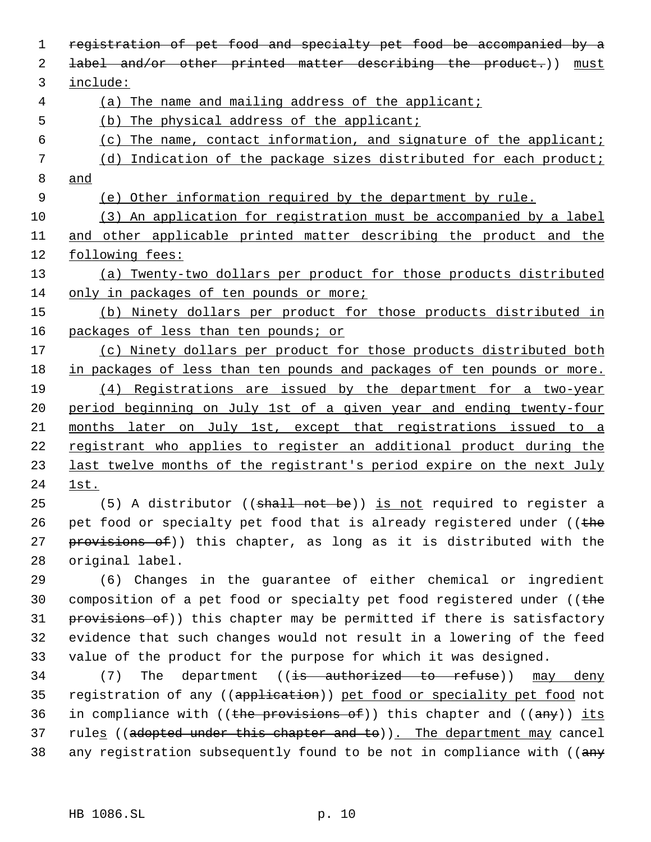1 registration of pet food and specialty pet food be accompanied by a 2 label and/or other printed matter describing the product.)) must 3 include: 4 (a) The name and mailing address of the applicant; 5 (b) The physical address of the applicant; 6 (c) The name, contact information, and signature of the applicant; 7 (d) Indication of the package sizes distributed for each product; 8 and 9 (e) Other information required by the department by rule. 10 (3) An application for registration must be accompanied by a label 11 and other applicable printed matter describing the product and the 12 following fees: 13 (a) Twenty-two dollars per product for those products distributed 14 only in packages of ten pounds or more; 15 (b) Ninety dollars per product for those products distributed in 16 packages of less than ten pounds; or 17 (c) Ninety dollars per product for those products distributed both 18 in packages of less than ten pounds and packages of ten pounds or more. 19 (4) Registrations are issued by the department for a two-year 20 period beginning on July 1st of a given year and ending twenty-four 21 months later on July 1st, except that registrations issued to a 22 registrant who applies to register an additional product during the 23 last twelve months of the registrant's period expire on the next July 24 1st. 25 (5) A distributor ((shall not be)) is not required to register a 26 pet food or specialty pet food that is already registered under (( $t$ he 27 provisions of)) this chapter, as long as it is distributed with the 28 original label. 29 (6) Changes in the guarantee of either chemical or ingredient 30 composition of a pet food or specialty pet food registered under (( $t$ he 31 provisions of)) this chapter may be permitted if there is satisfactory 32 evidence that such changes would not result in a lowering of the feed 33 value of the product for the purpose for which it was designed. 34 (7) The department ((is authorized to refuse)) may deny 35 registration of any ((application)) pet food or speciality pet food not 36 in compliance with ((the provisions of)) this chapter and ((any)) its 37 rules ((adopted under this chapter and to)). The department may cancel 38 any registration subsequently found to be not in compliance with ((any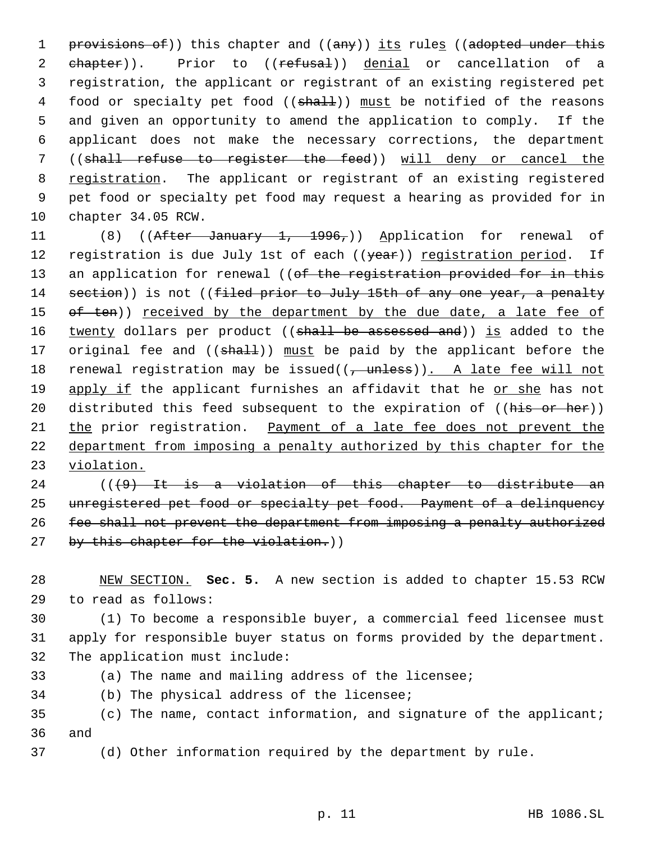1 provisions of)) this chapter and ((any)) its rules ((adopted under this 2 chapter)). Prior to ((refusal)) denial or cancellation of a 3 registration, the applicant or registrant of an existing registered pet 4 food or specialty pet food ((shall)) must be notified of the reasons 5 and given an opportunity to amend the application to comply. If the 6 applicant does not make the necessary corrections, the department 7 ((shall refuse to register the feed)) will deny or cancel the 8 registration. The applicant or registrant of an existing registered 9 pet food or specialty pet food may request a hearing as provided for in 10 chapter 34.05 RCW.

11 (8) ((After January 1, 1996,)) Application for renewal of 12 registration is due July 1st of each ((year)) registration period. If 13 an application for renewal ((of the registration provided for in this 14 section)) is not ((filed prior to July 15th of any one year, a penalty 15 of ten)) received by the department by the due date, a late fee of 16 twenty dollars per product ((shall be assessed and)) is added to the 17 original fee and ((shall)) must be paid by the applicant before the 18 renewal registration may be issued((, unless)). A late fee will not 19 apply if the applicant furnishes an affidavit that he or she has not 20 distributed this feed subsequent to the expiration of ((his or her)) 21 the prior registration. Payment of a late fee does not prevent the 22 department from imposing a penalty authorized by this chapter for the 23 violation.

 $24$  (( $\left(9\right)$  It is a violation of this chapter to distribute an 25 unregistered pet food or specialty pet food. Payment of a delinquency 26 fee shall not prevent the department from imposing a penalty authorized 27 by this chapter for the violation.))

28 NEW SECTION. **Sec. 5.** A new section is added to chapter 15.53 RCW 29 to read as follows:

30 (1) To become a responsible buyer, a commercial feed licensee must 31 apply for responsible buyer status on forms provided by the department. 32 The application must include:

33 (a) The name and mailing address of the licensee;

34 (b) The physical address of the licensee;

35 (c) The name, contact information, and signature of the applicant; 36 and

37 (d) Other information required by the department by rule.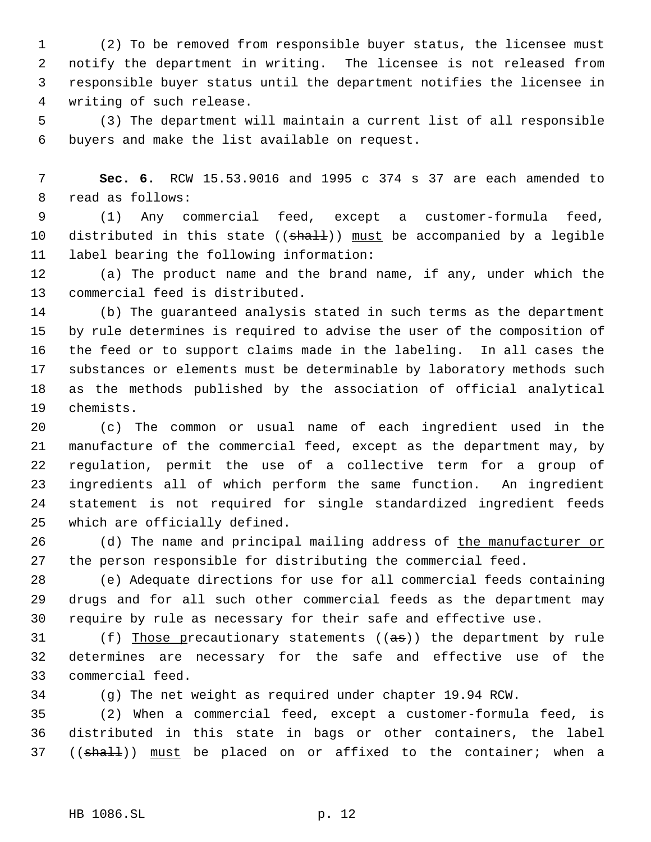(2) To be removed from responsible buyer status, the licensee must notify the department in writing. The licensee is not released from responsible buyer status until the department notifies the licensee in writing of such release.

 (3) The department will maintain a current list of all responsible buyers and make the list available on request.

 **Sec. 6.** RCW 15.53.9016 and 1995 c 374 s 37 are each amended to read as follows:

 (1) Any commercial feed, except a customer-formula feed, 10 distributed in this state  $((shall))$  must be accompanied by a legible label bearing the following information:

 (a) The product name and the brand name, if any, under which the commercial feed is distributed.

 (b) The guaranteed analysis stated in such terms as the department by rule determines is required to advise the user of the composition of the feed or to support claims made in the labeling. In all cases the substances or elements must be determinable by laboratory methods such as the methods published by the association of official analytical chemists.

 (c) The common or usual name of each ingredient used in the manufacture of the commercial feed, except as the department may, by regulation, permit the use of a collective term for a group of ingredients all of which perform the same function. An ingredient statement is not required for single standardized ingredient feeds which are officially defined.

26 (d) The name and principal mailing address of the manufacturer or the person responsible for distributing the commercial feed.

 (e) Adequate directions for use for all commercial feeds containing drugs and for all such other commercial feeds as the department may require by rule as necessary for their safe and effective use.

31 (f) Those precautionary statements ((as)) the department by rule determines are necessary for the safe and effective use of the commercial feed.

(g) The net weight as required under chapter 19.94 RCW.

 (2) When a commercial feed, except a customer-formula feed, is distributed in this state in bags or other containers, the label 37 ((shall)) must be placed on or affixed to the container; when a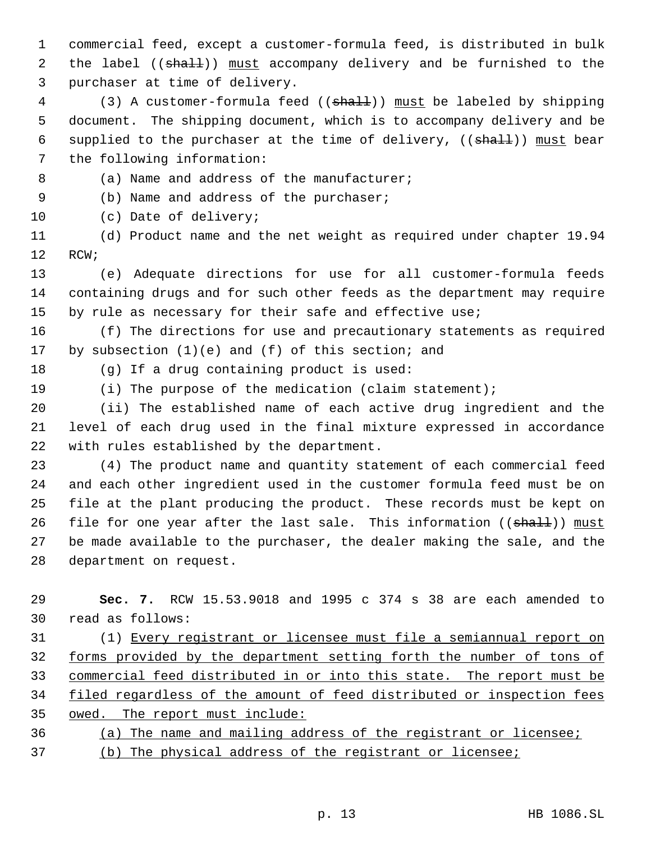commercial feed, except a customer-formula feed, is distributed in bulk 2 the label ((shall)) must accompany delivery and be furnished to the purchaser at time of delivery.

4 (3) A customer-formula feed ((shall)) must be labeled by shipping document. The shipping document, which is to accompany delivery and be 6 supplied to the purchaser at the time of delivery,  $((\text{shall}))$  must bear the following information:

8 (a) Name and address of the manufacturer;

(b) Name and address of the purchaser;

(c) Date of delivery;

 (d) Product name and the net weight as required under chapter 19.94 RCW;

 (e) Adequate directions for use for all customer-formula feeds containing drugs and for such other feeds as the department may require 15 by rule as necessary for their safe and effective use;

 (f) The directions for use and precautionary statements as required by subsection (1)(e) and (f) of this section; and

(g) If a drug containing product is used:

(i) The purpose of the medication (claim statement);

 (ii) The established name of each active drug ingredient and the level of each drug used in the final mixture expressed in accordance with rules established by the department.

 (4) The product name and quantity statement of each commercial feed and each other ingredient used in the customer formula feed must be on file at the plant producing the product. These records must be kept on 26 file for one year after the last sale. This information ((shall)) must be made available to the purchaser, the dealer making the sale, and the department on request.

 **Sec. 7.** RCW 15.53.9018 and 1995 c 374 s 38 are each amended to read as follows:

 (1) Every registrant or licensee must file a semiannual report on forms provided by the department setting forth the number of tons of commercial feed distributed in or into this state. The report must be 34 filed regardless of the amount of feed distributed or inspection fees owed. The report must include:

 (a) The name and mailing address of the registrant or licensee; (b) The physical address of the registrant or licensee;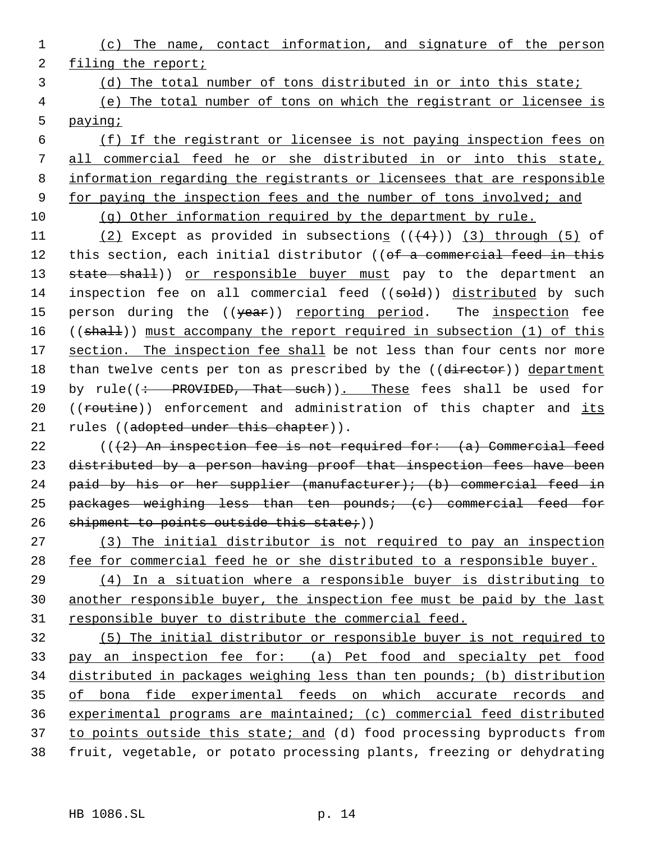1 (c) The name, contact information, and signature of the person 2 filing the report;

3 (d) The total number of tons distributed in or into this state;

 4 (e) The total number of tons on which the registrant or licensee is 5 paying;

 (f) If the registrant or licensee is not paying inspection fees on all commercial feed he or she distributed in or into this state, information regarding the registrants or licensees that are responsible for paying the inspection fees and the number of tons involved; and

10 (g) Other information required by the department by rule.

11  $(2)$  Except as provided in subsections  $((+4))$   $(3)$  through  $(5)$  of 12 this section, each initial distributor ((of a commercial feed in this 13 state shall)) or responsible buyer must pay to the department an 14 inspection fee on all commercial feed ((sold)) distributed by such 15 person during the ((year)) reporting period. The inspection fee 16 ((shall)) must accompany the report required in subsection (1) of this 17 section. The inspection fee shall be not less than four cents nor more 18 than twelve cents per ton as prescribed by the ((director)) department 19 by rule((: PROVIDED, That such)). These fees shall be used for 20 ((routine)) enforcement and administration of this chapter and its 21 rules ((adopted under this chapter)).

22  $((2)$  An inspection fee is not required for:  $(a)$  Commercial feed 23 distributed by a person having proof that inspection fees have been 24 paid by his or her supplier  ${(\text{manufacturer}) \cdot (\text{b})}$  commercial feed in 25 packages weighing less than ten pounds; (c) commercial feed for 26 shipment to points outside this state;))

27 (3) The initial distributor is not required to pay an inspection 28 fee for commercial feed he or she distributed to a responsible buyer.

29 (4) In a situation where a responsible buyer is distributing to 30 another responsible buyer, the inspection fee must be paid by the last 31 responsible buyer to distribute the commercial feed.

 (5) The initial distributor or responsible buyer is not required to pay an inspection fee for: (a) Pet food and specialty pet food distributed in packages weighing less than ten pounds; (b) distribution of bona fide experimental feeds on which accurate records and experimental programs are maintained; (c) commercial feed distributed 37 to points outside this state; and (d) food processing byproducts from fruit, vegetable, or potato processing plants, freezing or dehydrating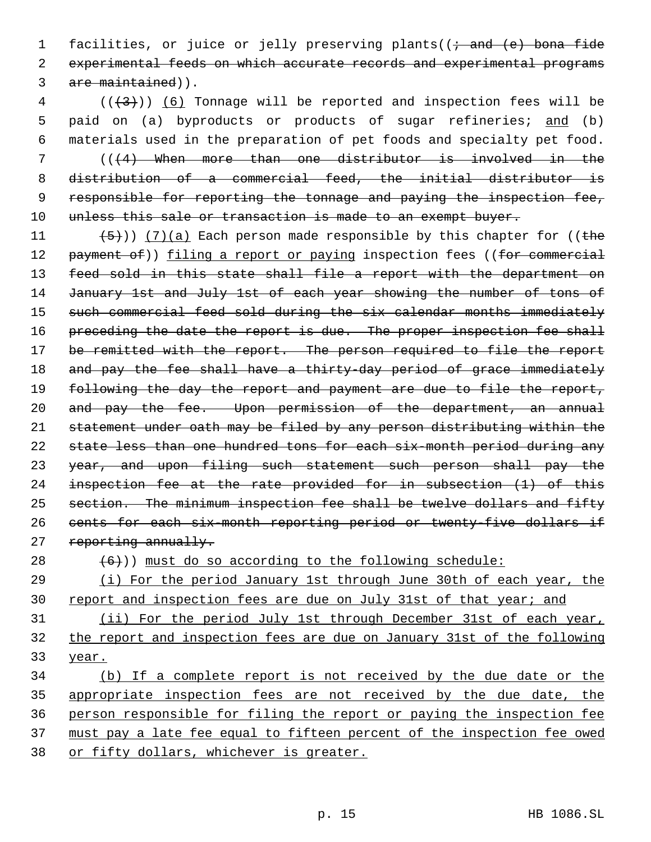1 facilities, or juice or jelly preserving plants( $(i - and (e)$  bona fide 2 experimental feeds on which accurate records and experimental programs 3 are maintained)).

 ( $(\frac{+3}{})$ ) (6) Tonnage will be reported and inspection fees will be 5 paid on (a) byproducts or products of sugar refineries; and (b) materials used in the preparation of pet foods and specialty pet food. (((4) When more than one distributor is involved in the distribution of a commercial feed, the initial distributor is responsible for reporting the tonnage and paying the inspection fee, 10 unless this sale or transaction is made to an exempt buyer.

11  $(5)$ )) (7)(a) Each person made responsible by this chapter for ((the 12 payment of)) filing a report or paying inspection fees ((for commercial 13 feed sold in this state shall file a report with the department on 14 January 1st and July 1st of each year showing the number of tons of 15 such commercial feed sold during the six calendar months immediately 16 preceding the date the report is due. The proper inspection fee shall 17 be remitted with the report. The person required to file the report 18 and pay the fee shall have a thirty-day period of grace immediately 19 following the day the report and payment are due to file the report, 20 and pay the fee. Upon permission of the department, an annual 21 statement under oath may be filed by any person distributing within the 22 state less than one hundred tons for each six-month period during any 23 year, and upon filing such statement such person shall pay the 24 inspection fee at the rate provided for in subsection (1) of this 25 section. The minimum inspection fee shall be twelve dollars and fifty 26 cents for each six-month reporting period or twenty-five dollars if 27 reporting annually.

 $(6)$ )) must do so according to the following schedule:

29 (i) For the period January 1st through June 30th of each year, the 30 report and inspection fees are due on July 31st of that year; and

31 (ii) For the period July 1st through December 31st of each year, 32 the report and inspection fees are due on January 31st of the following 33 year.

 (b) If a complete report is not received by the due date or the appropriate inspection fees are not received by the due date, the person responsible for filing the report or paying the inspection fee must pay a late fee equal to fifteen percent of the inspection fee owed 38 or fifty dollars, whichever is greater.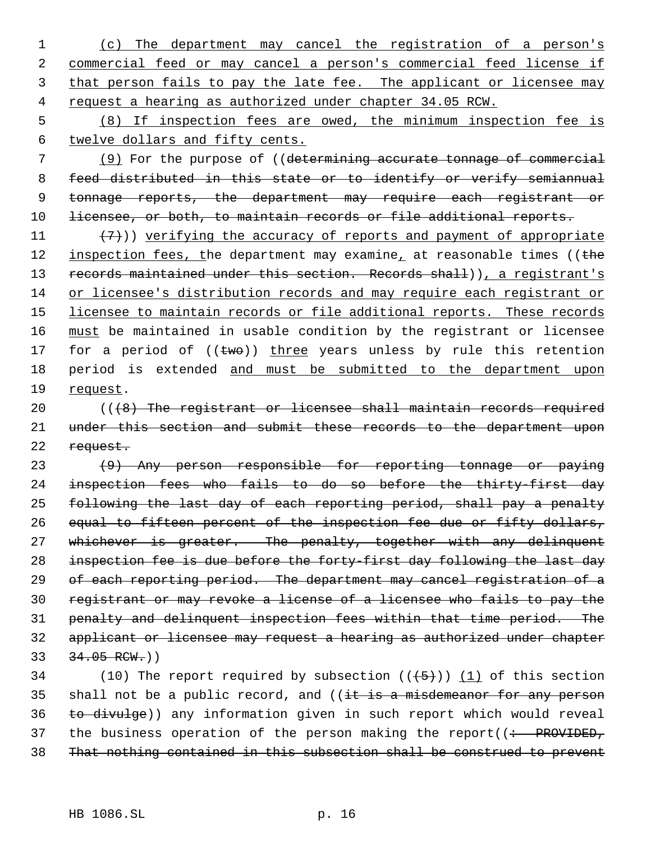(c) The department may cancel the registration of a person's commercial feed or may cancel a person's commercial feed license if 3 that person fails to pay the late fee. The applicant or licensee may request a hearing as authorized under chapter 34.05 RCW.

 5 (8) If inspection fees are owed, the minimum inspection fee is 6 twelve dollars and fifty cents.

 7 (9) For the purpose of ((determining accurate tonnage of commercial 8 feed distributed in this state or to identify or verify semiannual 9 tonnage reports, the department may require each registrant or 10 licensee, or both, to maintain records or file additional reports.

11  $(7)$ )) verifying the accuracy of reports and payment of appropriate 12 inspection fees, the department may examine, at reasonable times ((the 13 records maintained under this section. Records shall)), a registrant's 14 or licensee's distribution records and may require each registrant or 15 licensee to maintain records or file additional reports. These records 16 must be maintained in usable condition by the registrant or licensee 17 for a period of  $((two))$  three years unless by rule this retention 18 period is extended and must be submitted to the department upon 19 request.

20 (((8) The registrant or licensee shall maintain records required 21 under this section and submit these records to the department upon 22 request.

 (9) Any person responsible for reporting tonnage or paying inspection fees who fails to do so before the thirty-first day following the last day of each reporting period, shall pay a penalty equal to fifteen percent of the inspection fee due or fifty dollars, 27 whichever is greater. The penalty, together with any delinquent 28 inspection fee is due before the forty-first day following the last day 29 of each reporting period. The department may cancel registration of a registrant or may revoke a license of a licensee who fails to pay the penalty and delinquent inspection fees within that time period. The applicant or licensee may request a hearing as authorized under chapter  $33 \frac{34.05 \text{ RCW}}{1000 \text{ RCW}}$ 

34 (10) The report required by subsection  $((+5+))$  (1) of this section 35 shall not be a public record, and  $($   $i$ t is a misdemeanor for any person 36 to divulge)) any information given in such report which would reveal 37 the business operation of the person making the report( $\left(\div\right)$  PROVIDED, 38 That nothing contained in this subsection shall be construed to prevent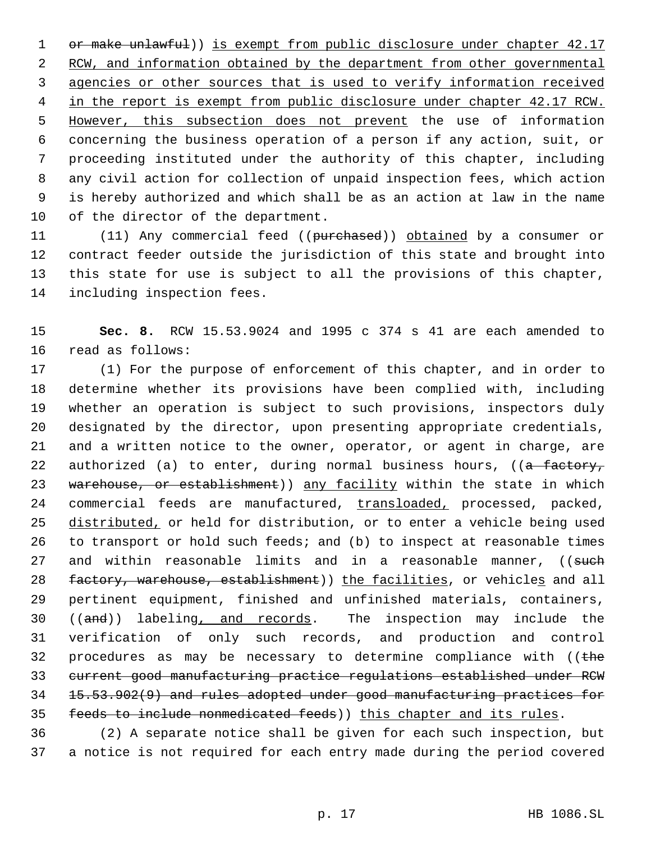1 or make unlawful)) is exempt from public disclosure under chapter 42.17 2 RCW, and information obtained by the department from other governmental agencies or other sources that is used to verify information received 4 in the report is exempt from public disclosure under chapter 42.17 RCW. However, this subsection does not prevent the use of information concerning the business operation of a person if any action, suit, or proceeding instituted under the authority of this chapter, including any civil action for collection of unpaid inspection fees, which action is hereby authorized and which shall be as an action at law in the name of the director of the department.

11 (11) Any commercial feed ((purchased)) obtained by a consumer or contract feeder outside the jurisdiction of this state and brought into this state for use is subject to all the provisions of this chapter, including inspection fees.

 **Sec. 8.** RCW 15.53.9024 and 1995 c 374 s 41 are each amended to read as follows:

 (1) For the purpose of enforcement of this chapter, and in order to determine whether its provisions have been complied with, including whether an operation is subject to such provisions, inspectors duly designated by the director, upon presenting appropriate credentials, and a written notice to the owner, operator, or agent in charge, are 22 authorized (a) to enter, during normal business hours, (( $a$  factory, 23 warehouse, or establishment)) any facility within the state in which commercial feeds are manufactured, transloaded, processed, packed, 25 distributed, or held for distribution, or to enter a vehicle being used to transport or hold such feeds; and (b) to inspect at reasonable times 27 and within reasonable limits and in a reasonable manner, ((such 28 factory, warehouse, establishment)) the facilities, or vehicles and all pertinent equipment, finished and unfinished materials, containers, 30 ((and)) labeling, and records. The inspection may include the verification of only such records, and production and control 32 procedures as may be necessary to determine compliance with (( $t$ he current good manufacturing practice regulations established under RCW 15.53.902(9) and rules adopted under good manufacturing practices for 35 feeds to include nonmedicated feeds)) this chapter and its rules.

 (2) A separate notice shall be given for each such inspection, but a notice is not required for each entry made during the period covered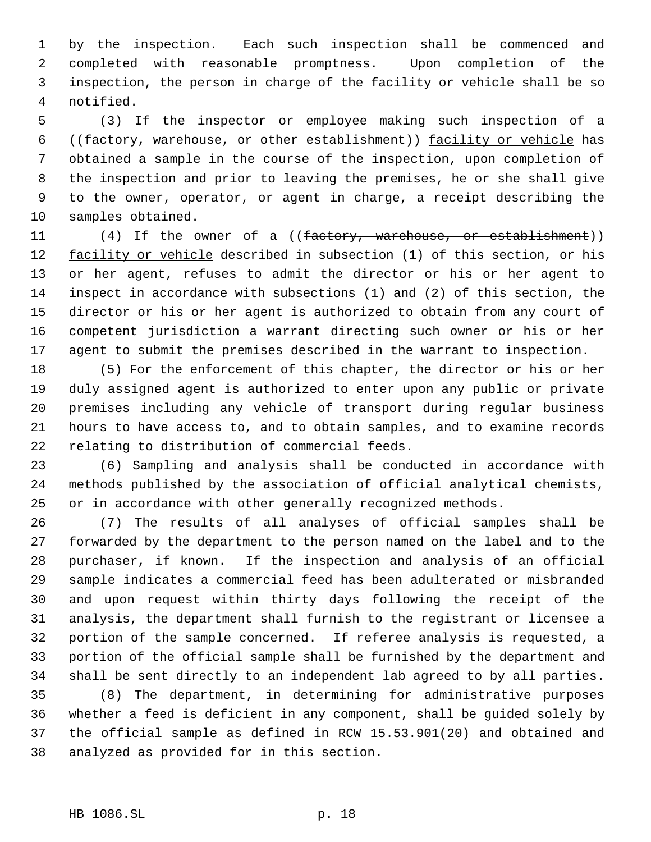by the inspection. Each such inspection shall be commenced and completed with reasonable promptness. Upon completion of the inspection, the person in charge of the facility or vehicle shall be so notified.

 (3) If the inspector or employee making such inspection of a ((factory, warehouse, or other establishment)) facility or vehicle has obtained a sample in the course of the inspection, upon completion of the inspection and prior to leaving the premises, he or she shall give to the owner, operator, or agent in charge, a receipt describing the samples obtained.

11 (4) If the owner of a ((factory, warehouse, or establishment)) 12 facility or vehicle described in subsection (1) of this section, or his or her agent, refuses to admit the director or his or her agent to inspect in accordance with subsections (1) and (2) of this section, the director or his or her agent is authorized to obtain from any court of competent jurisdiction a warrant directing such owner or his or her agent to submit the premises described in the warrant to inspection.

 (5) For the enforcement of this chapter, the director or his or her duly assigned agent is authorized to enter upon any public or private premises including any vehicle of transport during regular business hours to have access to, and to obtain samples, and to examine records relating to distribution of commercial feeds.

 (6) Sampling and analysis shall be conducted in accordance with methods published by the association of official analytical chemists, or in accordance with other generally recognized methods.

 (7) The results of all analyses of official samples shall be forwarded by the department to the person named on the label and to the purchaser, if known. If the inspection and analysis of an official sample indicates a commercial feed has been adulterated or misbranded and upon request within thirty days following the receipt of the analysis, the department shall furnish to the registrant or licensee a portion of the sample concerned. If referee analysis is requested, a portion of the official sample shall be furnished by the department and shall be sent directly to an independent lab agreed to by all parties.

 (8) The department, in determining for administrative purposes whether a feed is deficient in any component, shall be guided solely by the official sample as defined in RCW 15.53.901(20) and obtained and analyzed as provided for in this section.